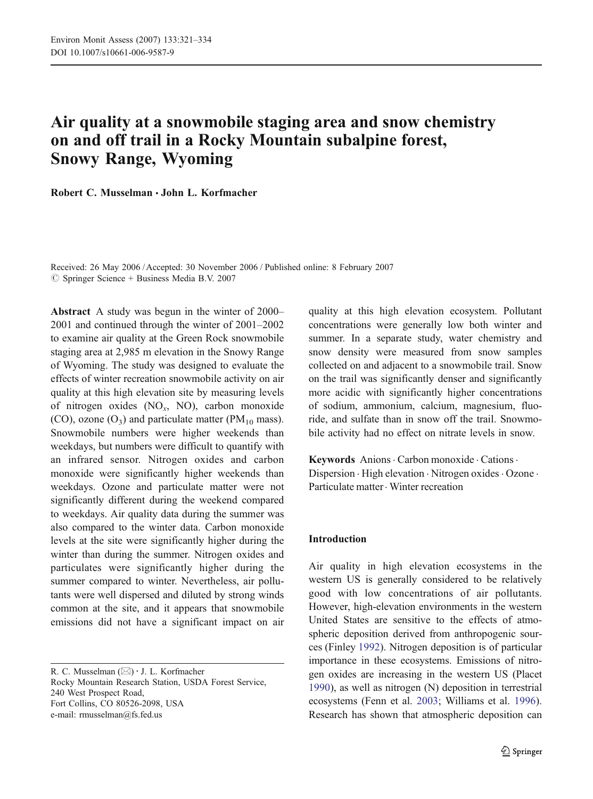# Air quality at a snowmobile staging area and snow chemistry on and off trail in a Rocky Mountain subalpine forest, Snowy Range, Wyoming

Robert C. Musselman · John L. Korfmacher

Received: 26 May 2006 /Accepted: 30 November 2006 / Published online: 8 February 2007  $\circledcirc$  Springer Science + Business Media B.V. 2007

Abstract A study was begun in the winter of 2000– 2001 and continued through the winter of 2001–2002 to examine air quality at the Green Rock snowmobile staging area at 2,985 m elevation in the Snowy Range of Wyoming. The study was designed to evaluate the effects of winter recreation snowmobile activity on air quality at this high elevation site by measuring levels of nitrogen oxides  $(NO_x, NO)$ , carbon monoxide (CO), ozone  $(O_3)$  and particulate matter (PM<sub>10</sub> mass). Snowmobile numbers were higher weekends than weekdays, but numbers were difficult to quantify with an infrared sensor. Nitrogen oxides and carbon monoxide were significantly higher weekends than weekdays. Ozone and particulate matter were not significantly different during the weekend compared to weekdays. Air quality data during the summer was also compared to the winter data. Carbon monoxide levels at the site were significantly higher during the winter than during the summer. Nitrogen oxides and particulates were significantly higher during the summer compared to winter. Nevertheless, air pollutants were well dispersed and diluted by strong winds common at the site, and it appears that snowmobile emissions did not have a significant impact on air

R. C. Musselman (⊠) · J. L. Korfmacher Rocky Mountain Research Station, USDA Forest Service, 240 West Prospect Road, Fort Collins, CO 80526-2098, USA e-mail: rmusselman@fs.fed.us

quality at this high elevation ecosystem. Pollutant concentrations were generally low both winter and summer. In a separate study, water chemistry and snow density were measured from snow samples collected on and adjacent to a snowmobile trail. Snow on the trail was significantly denser and significantly more acidic with significantly higher concentrations of sodium, ammonium, calcium, magnesium, fluoride, and sulfate than in snow off the trail. Snowmobile activity had no effect on nitrate levels in snow.

Keywords Anions . Carbon monoxide . Cations . Dispersion  $\cdot$  High elevation  $\cdot$  Nitrogen oxides  $\cdot$  Ozone  $\cdot$ Particulate matter. Winter recreation

## Introduction

Air quality in high elevation ecosystems in the western US is generally considered to be relatively good with low concentrations of air pollutants. However, high-elevation environments in the western United States are sensitive to the effects of atmospheric deposition derived from anthropogenic sources (Finley [1992](#page-12-0)). Nitrogen deposition is of particular importance in these ecosystems. Emissions of nitrogen oxides are increasing in the western US (Placet [1990](#page-13-0)), as well as nitrogen (N) deposition in terrestrial ecosystems (Fenn et al. [2003](#page-12-0); Williams et al. [1996](#page-13-0)). Research has shown that atmospheric deposition can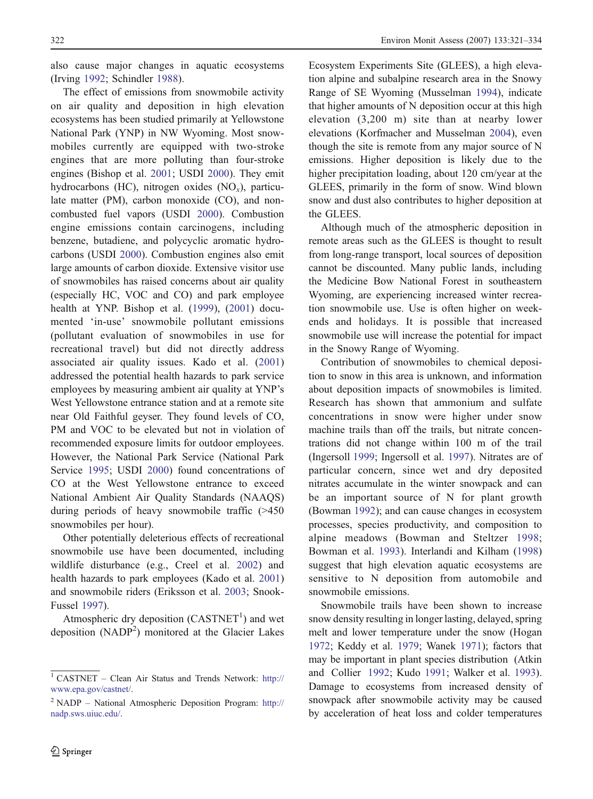also cause major changes in aquatic ecosystems (Irving [1992](#page-13-0); Schindler [1988](#page-13-0)).

The effect of emissions from snowmobile activity on air quality and deposition in high elevation ecosystems has been studied primarily at Yellowstone National Park (YNP) in NW Wyoming. Most snowmobiles currently are equipped with two-stroke engines that are more polluting than four-stroke engines (Bishop et al. [2001](#page-12-0); USDI [2000](#page-13-0)). They emit hydrocarbons (HC), nitrogen oxides  $(NO<sub>x</sub>)$ , particulate matter (PM), carbon monoxide (CO), and noncombusted fuel vapors (USDI [2000](#page-13-0)). Combustion engine emissions contain carcinogens, including benzene, butadiene, and polycyclic aromatic hydrocarbons (USDI [2000](#page-13-0)). Combustion engines also emit large amounts of carbon dioxide. Extensive visitor use of snowmobiles has raised concerns about air quality (especially HC, VOC and CO) and park employee health at YNP. Bishop et al. [\(1999](#page-12-0)), [\(2001](#page-12-0)) documented 'in-use' snowmobile pollutant emissions (pollutant evaluation of snowmobiles in use for recreational travel) but did not directly address associated air quality issues. Kado et al. [\(2001](#page-13-0)) addressed the potential health hazards to park service employees by measuring ambient air quality at YNP's West Yellowstone entrance station and at a remote site near Old Faithful geyser. They found levels of CO, PM and VOC to be elevated but not in violation of recommended exposure limits for outdoor employees. However, the National Park Service (National Park Service [1995](#page-13-0); USDI [2000](#page-13-0)) found concentrations of CO at the West Yellowstone entrance to exceed National Ambient Air Quality Standards (NAAQS) during periods of heavy snowmobile traffic (>450 snowmobiles per hour).

Other potentially deleterious effects of recreational snowmobile use have been documented, including wildlife disturbance (e.g., Creel et al. [2002](#page-12-0)) and health hazards to park employees (Kado et al. [2001](#page-13-0)) and snowmobile riders (Eriksson et al. [2003](#page-12-0); Snook-Fussel [1997](#page-13-0)).

Atmospheric dry deposition  $(CASTNET<sup>1</sup>)$  and wet deposition (NADP<sup>2</sup>) monitored at the Glacier Lakes

Ecosystem Experiments Site (GLEES), a high elevation alpine and subalpine research area in the Snowy Range of SE Wyoming (Musselman [1994](#page-13-0)), indicate that higher amounts of N deposition occur at this high elevation (3,200 m) site than at nearby lower elevations (Korfmacher and Musselman [2004](#page-13-0)), even though the site is remote from any major source of N emissions. Higher deposition is likely due to the higher precipitation loading, about 120 cm/year at the GLEES, primarily in the form of snow. Wind blown snow and dust also contributes to higher deposition at the GLEES.

Although much of the atmospheric deposition in remote areas such as the GLEES is thought to result from long-range transport, local sources of deposition cannot be discounted. Many public lands, including the Medicine Bow National Forest in southeastern Wyoming, are experiencing increased winter recreation snowmobile use. Use is often higher on weekends and holidays. It is possible that increased snowmobile use will increase the potential for impact in the Snowy Range of Wyoming.

Contribution of snowmobiles to chemical deposition to snow in this area is unknown, and information about deposition impacts of snowmobiles is limited. Research has shown that ammonium and sulfate concentrations in snow were higher under snow machine trails than off the trails, but nitrate concentrations did not change within 100 m of the trail (Ingersoll [1999](#page-12-0); Ingersoll et al. [1997](#page-12-0)). Nitrates are of particular concern, since wet and dry deposited nitrates accumulate in the winter snowpack and can be an important source of N for plant growth (Bowman [1992](#page-12-0)); and can cause changes in ecosystem processes, species productivity, and composition to alpine meadows (Bowman and Steltzer [1998](#page-12-0); Bowman et al. [1993](#page-12-0)). Interlandi and Kilham [\(1998](#page-13-0)) suggest that high elevation aquatic ecosystems are sensitive to N deposition from automobile and snowmobile emissions.

Snowmobile trails have been shown to increase snow density resulting in longer lasting, delayed, spring melt and lower temperature under the snow (Hogan [1972](#page-12-0); Keddy et al. [1979](#page-13-0); Wanek [1971](#page-13-0)); factors that may be important in plant species distribution (Atkin and Collier [1992](#page-12-0); Kudo [1991](#page-13-0); Walker et al. [1993](#page-13-0)). Damage to ecosystems from increased density of snowpack after snowmobile activity may be caused by acceleration of heat loss and colder temperatures

<sup>1</sup> CASTNET – Clean Air Status and Trends Network: [http:/](http://www.epa.gov/castnet/)/ [www.epa.gov/castnet](http://www.epa.gov/castnet/)/.

<sup>2</sup> NADP – National Atmospheric Deposition Program: [http:/](http://nadp.sws.uiuc.edu/)/ [nadp.sws.uiuc.edu](http://nadp.sws.uiuc.edu/)/.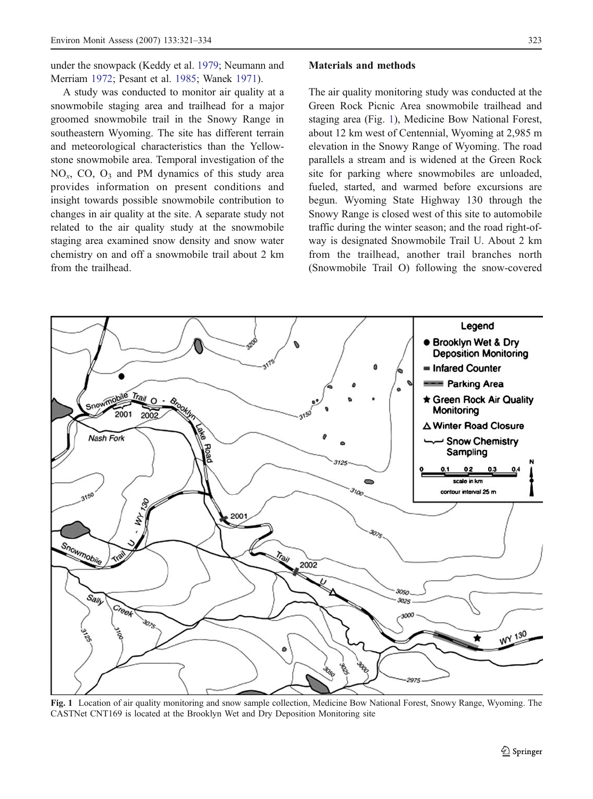<span id="page-2-0"></span>under the snowpack (Keddy et al. [1979](#page-13-0); Neumann and Merriam [1972](#page-13-0); Pesant et al. [1985](#page-13-0); Wanek [1971](#page-13-0)).

A study was conducted to monitor air quality at a snowmobile staging area and trailhead for a major groomed snowmobile trail in the Snowy Range in southeastern Wyoming. The site has different terrain and meteorological characteristics than the Yellowstone snowmobile area. Temporal investigation of the  $NO<sub>x</sub>$ , CO, O<sub>3</sub> and PM dynamics of this study area provides information on present conditions and insight towards possible snowmobile contribution to changes in air quality at the site. A separate study not related to the air quality study at the snowmobile staging area examined snow density and snow water chemistry on and off a snowmobile trail about 2 km from the trailhead.

## Materials and methods

The air quality monitoring study was conducted at the Green Rock Picnic Area snowmobile trailhead and staging area (Fig. 1), Medicine Bow National Forest, about 12 km west of Centennial, Wyoming at 2,985 m elevation in the Snowy Range of Wyoming. The road parallels a stream and is widened at the Green Rock site for parking where snowmobiles are unloaded, fueled, started, and warmed before excursions are begun. Wyoming State Highway 130 through the Snowy Range is closed west of this site to automobile traffic during the winter season; and the road right-ofway is designated Snowmobile Trail U. About 2 km from the trailhead, another trail branches north (Snowmobile Trail O) following the snow-covered



Fig. 1 Location of air quality monitoring and snow sample collection, Medicine Bow National Forest, Snowy Range, Wyoming. The CASTNet CNT169 is located at the Brooklyn Wet and Dry Deposition Monitoring site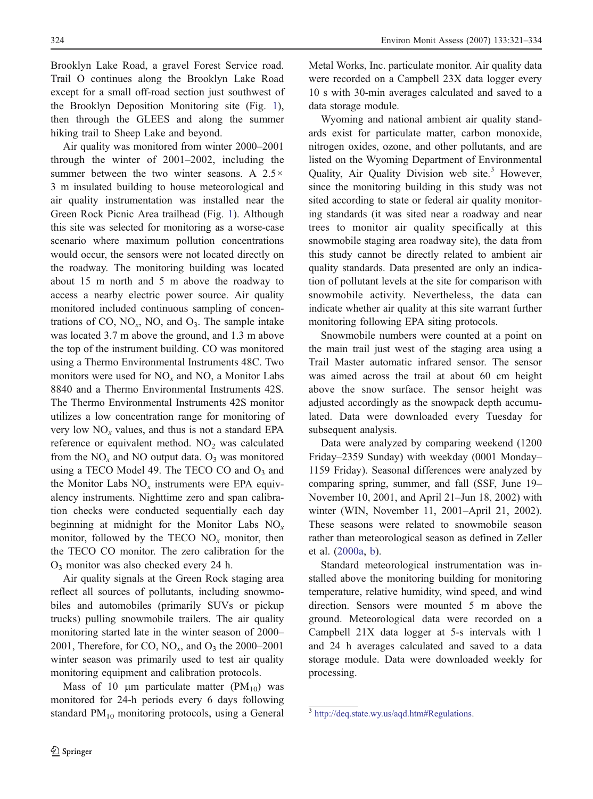Brooklyn Lake Road, a gravel Forest Service road. Trail O continues along the Brooklyn Lake Road except for a small off-road section just southwest of the Brooklyn Deposition Monitoring site (Fig. [1](#page-2-0)), then through the GLEES and along the summer hiking trail to Sheep Lake and beyond.

Air quality was monitored from winter 2000–2001 through the winter of 2001–2002, including the summer between the two winter seasons. A 2.5× 3 m insulated building to house meteorological and air quality instrumentation was installed near the Green Rock Picnic Area trailhead (Fig. [1](#page-2-0)). Although this site was selected for monitoring as a worse-case scenario where maximum pollution concentrations would occur, the sensors were not located directly on the roadway. The monitoring building was located about 15 m north and 5 m above the roadway to access a nearby electric power source. Air quality monitored included continuous sampling of concentrations of CO,  $NO_x$ , NO, and  $O_3$ . The sample intake was located 3.7 m above the ground, and 1.3 m above the top of the instrument building. CO was monitored using a Thermo Environmental Instruments 48C. Two monitors were used for  $NO<sub>x</sub>$  and NO, a Monitor Labs 8840 and a Thermo Environmental Instruments 42S. The Thermo Environmental Instruments 42S monitor utilizes a low concentration range for monitoring of very low  $NO<sub>x</sub>$  values, and thus is not a standard EPA reference or equivalent method.  $NO<sub>2</sub>$  was calculated from the  $NO<sub>x</sub>$  and NO output data.  $O<sub>3</sub>$  was monitored using a TECO Model 49. The TECO CO and  $O<sub>3</sub>$  and the Monitor Labs  $NO<sub>x</sub>$  instruments were EPA equivalency instruments. Nighttime zero and span calibration checks were conducted sequentially each day beginning at midnight for the Monitor Labs  $NO<sub>x</sub>$ monitor, followed by the TECO  $NO<sub>x</sub>$  monitor, then the TECO CO monitor. The zero calibration for the O3 monitor was also checked every 24 h.

Air quality signals at the Green Rock staging area reflect all sources of pollutants, including snowmobiles and automobiles (primarily SUVs or pickup trucks) pulling snowmobile trailers. The air quality monitoring started late in the winter season of 2000– 2001, Therefore, for CO,  $NO<sub>x</sub>$ , and  $O<sub>3</sub>$  the 2000–2001 winter season was primarily used to test air quality monitoring equipment and calibration protocols.

Mass of 10  $\mu$ m particulate matter (PM<sub>10</sub>) was monitored for 24-h periods every 6 days following standard  $PM_{10}$  monitoring protocols, using a General Metal Works, Inc. particulate monitor. Air quality data were recorded on a Campbell 23X data logger every 10 s with 30-min averages calculated and saved to a data storage module.

Wyoming and national ambient air quality standards exist for particulate matter, carbon monoxide, nitrogen oxides, ozone, and other pollutants, and are listed on the Wyoming Department of Environmental Quality, Air Quality Division web site.<sup>3</sup> However, since the monitoring building in this study was not sited according to state or federal air quality monitoring standards (it was sited near a roadway and near trees to monitor air quality specifically at this snowmobile staging area roadway site), the data from this study cannot be directly related to ambient air quality standards. Data presented are only an indication of pollutant levels at the site for comparison with snowmobile activity. Nevertheless, the data can indicate whether air quality at this site warrant further monitoring following EPA siting protocols.

Snowmobile numbers were counted at a point on the main trail just west of the staging area using a Trail Master automatic infrared sensor. The sensor was aimed across the trail at about 60 cm height above the snow surface. The sensor height was adjusted accordingly as the snowpack depth accumulated. Data were downloaded every Tuesday for subsequent analysis.

Data were analyzed by comparing weekend (1200 Friday–2359 Sunday) with weekday (0001 Monday– 1159 Friday). Seasonal differences were analyzed by comparing spring, summer, and fall (SSF, June 19– November 10, 2001, and April 21–Jun 18, 2002) with winter (WIN, November 11, 2001–April 21, 2002). These seasons were related to snowmobile season rather than meteorological season as defined in Zeller et al. [\(2000a](#page-13-0), [b](#page-13-0)).

Standard meteorological instrumentation was installed above the monitoring building for monitoring temperature, relative humidity, wind speed, and wind direction. Sensors were mounted 5 m above the ground. Meteorological data were recorded on a Campbell 21X data logger at 5-s intervals with 1 and 24 h averages calculated and saved to a data storage module. Data were downloaded weekly for processing.

<sup>&</sup>lt;sup>3</sup> <http://deq.state.wy.us/aqd.htm#Regulations>.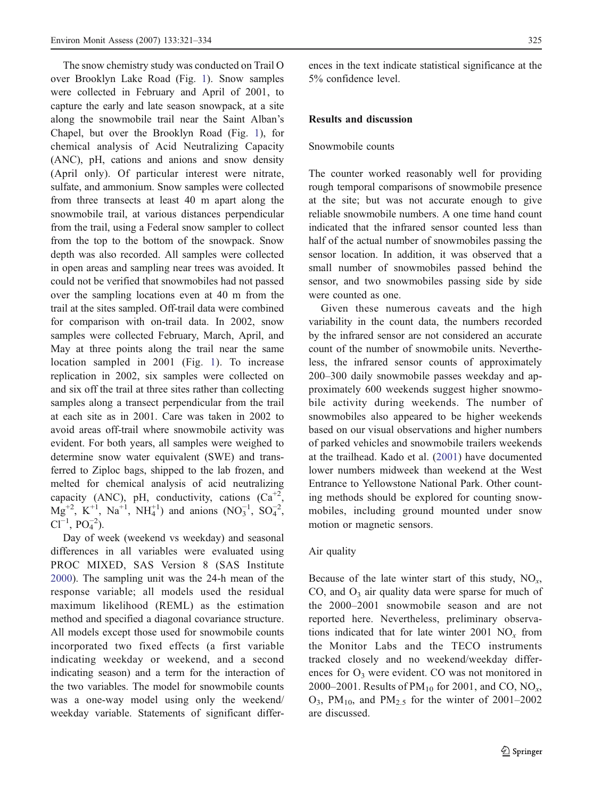The snow chemistry study was conducted on Trail O over Brooklyn Lake Road (Fig. [1](#page-2-0)). Snow samples were collected in February and April of 2001, to capture the early and late season snowpack, at a site along the snowmobile trail near the Saint Alban's Chapel, but over the Brooklyn Road (Fig. [1](#page-2-0)), for chemical analysis of Acid Neutralizing Capacity (ANC), pH, cations and anions and snow density (April only). Of particular interest were nitrate, sulfate, and ammonium. Snow samples were collected from three transects at least 40 m apart along the snowmobile trail, at various distances perpendicular from the trail, using a Federal snow sampler to collect from the top to the bottom of the snowpack. Snow depth was also recorded. All samples were collected in open areas and sampling near trees was avoided. It could not be verified that snowmobiles had not passed over the sampling locations even at 40 m from the trail at the sites sampled. Off-trail data were combined for comparison with on-trail data. In 2002, snow samples were collected February, March, April, and May at three points along the trail near the same location sampled in 2001 (Fig. [1](#page-2-0)). To increase replication in 2002, six samples were collected on and six off the trail at three sites rather than collecting samples along a transect perpendicular from the trail at each site as in 2001. Care was taken in 2002 to avoid areas off-trail where snowmobile activity was evident. For both years, all samples were weighed to determine snow water equivalent (SWE) and transferred to Ziploc bags, shipped to the lab frozen, and melted for chemical analysis of acid neutralizing capacity (ANC), pH, conductivity, cations  $(Ca^{+2})$  $Mg^{+2}$ , K<sup>+1</sup>, Na<sup>+1</sup>, NH<sub>4</sub><sup>+1</sup>) and anions (NO<sub>3</sub><sup>-1</sup>, SO<sub>4</sub><sup>-2</sup>,  $Cl^{-1}$ ,  $PO_4^{-2}$ ).

Day of week (weekend vs weekday) and seasonal differences in all variables were evaluated using PROC MIXED, SAS Version 8 (SAS Institute [2000](#page-13-0)). The sampling unit was the 24-h mean of the response variable; all models used the residual maximum likelihood (REML) as the estimation method and specified a diagonal covariance structure. All models except those used for snowmobile counts incorporated two fixed effects (a first variable indicating weekday or weekend, and a second indicating season) and a term for the interaction of the two variables. The model for snowmobile counts was a one-way model using only the weekend/ weekday variable. Statements of significant differences in the text indicate statistical significance at the 5% confidence level.

## Results and discussion

#### Snowmobile counts

The counter worked reasonably well for providing rough temporal comparisons of snowmobile presence at the site; but was not accurate enough to give reliable snowmobile numbers. A one time hand count indicated that the infrared sensor counted less than half of the actual number of snowmobiles passing the sensor location. In addition, it was observed that a small number of snowmobiles passed behind the sensor, and two snowmobiles passing side by side were counted as one.

Given these numerous caveats and the high variability in the count data, the numbers recorded by the infrared sensor are not considered an accurate count of the number of snowmobile units. Nevertheless, the infrared sensor counts of approximately 200–300 daily snowmobile passes weekday and approximately 600 weekends suggest higher snowmobile activity during weekends. The number of snowmobiles also appeared to be higher weekends based on our visual observations and higher numbers of parked vehicles and snowmobile trailers weekends at the trailhead. Kado et al. [\(2001](#page-13-0)) have documented lower numbers midweek than weekend at the West Entrance to Yellowstone National Park. Other counting methods should be explored for counting snowmobiles, including ground mounted under snow motion or magnetic sensors.

## Air quality

Because of the late winter start of this study,  $NO<sub>x</sub>$ , CO, and  $O_3$  air quality data were sparse for much of the 2000–2001 snowmobile season and are not reported here. Nevertheless, preliminary observations indicated that for late winter 2001  $NO<sub>x</sub>$  from the Monitor Labs and the TECO instruments tracked closely and no weekend/weekday differences for  $O_3$  were evident. CO was not monitored in 2000–2001. Results of  $PM_{10}$  for 2001, and CO, NO<sub>x</sub>,  $O_3$ , PM<sub>10</sub>, and PM<sub>2.5</sub> for the winter of 2001–2002 are discussed.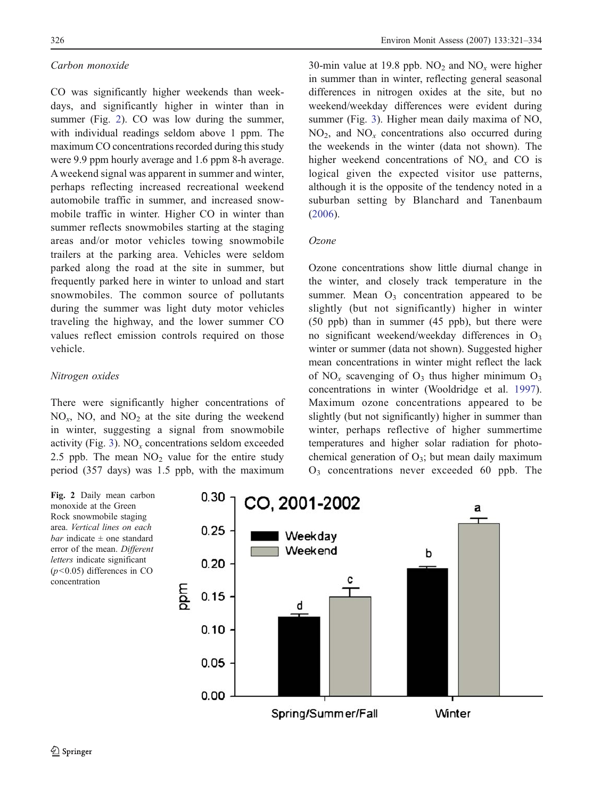# Carbon monoxide

CO was significantly higher weekends than weekdays, and significantly higher in winter than in summer (Fig. 2). CO was low during the summer, with individual readings seldom above 1 ppm. The maximum CO concentrations recorded during this study were 9.9 ppm hourly average and 1.6 ppm 8-h average. A weekend signal was apparent in summer and winter, perhaps reflecting increased recreational weekend automobile traffic in summer, and increased snowmobile traffic in winter. Higher CO in winter than summer reflects snowmobiles starting at the staging areas and/or motor vehicles towing snowmobile trailers at the parking area. Vehicles were seldom parked along the road at the site in summer, but frequently parked here in winter to unload and start snowmobiles. The common source of pollutants during the summer was light duty motor vehicles traveling the highway, and the lower summer CO values reflect emission controls required on those vehicle.

# Nitrogen oxides

There were significantly higher concentrations of  $NO<sub>x</sub>$ , NO, and  $NO<sub>2</sub>$  at the site during the weekend in winter, suggesting a signal from snowmobile activity (Fig. [3](#page-6-0)).  $NO_x$  concentrations seldom exceeded 2.5 ppb. The mean  $NO<sub>2</sub>$  value for the entire study period (357 days) was 1.5 ppb, with the maximum

30-min value at 19.8 ppb.  $NO<sub>2</sub>$  and  $NO<sub>x</sub>$  were higher in summer than in winter, reflecting general seasonal differences in nitrogen oxides at the site, but no weekend/weekday differences were evident during summer (Fig. [3](#page-6-0)). Higher mean daily maxima of NO,  $NO<sub>2</sub>$ , and  $NO<sub>x</sub>$  concentrations also occurred during the weekends in the winter (data not shown). The higher weekend concentrations of  $NO<sub>x</sub>$  and CO is logical given the expected visitor use patterns, although it is the opposite of the tendency noted in a suburban setting by Blanchard and Tanenbaum [\(2006](#page-12-0)).

## Ozone

Ozone concentrations show little diurnal change in the winter, and closely track temperature in the summer. Mean  $O_3$  concentration appeared to be slightly (but not significantly) higher in winter (50 ppb) than in summer (45 ppb), but there were no significant weekend/weekday differences in  $O_3$ winter or summer (data not shown). Suggested higher mean concentrations in winter might reflect the lack of NO<sub>x</sub> scavenging of O<sub>3</sub> thus higher minimum  $O_3$ concentrations in winter (Wooldridge et al. [1997](#page-13-0)). Maximum ozone concentrations appeared to be slightly (but not significantly) higher in summer than winter, perhaps reflective of higher summertime temperatures and higher solar radiation for photochemical generation of  $O_3$ ; but mean daily maximum O3 concentrations never exceeded 60 ppb. The

Fig. 2 Daily mean carbon monoxide at the Green Rock snowmobile staging area. Vertical lines on each *bar* indicate  $\pm$  one standard error of the mean. Different letters indicate significant  $(p<0.05)$  differences in CO concentration

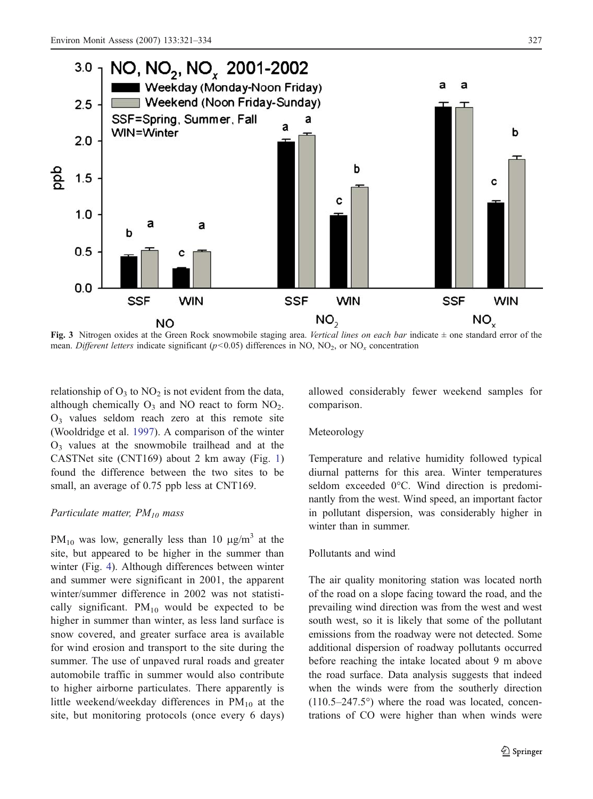<span id="page-6-0"></span>

Fig. 3 Nitrogen oxides at the Green Rock snowmobile staging area. Vertical lines on each bar indicate  $\pm$  one standard error of the mean. Different letters indicate significant ( $p<0.05$ ) differences in NO, NO<sub>2</sub>, or NO<sub>x</sub> concentration

relationship of  $O_3$  to  $NO_2$  is not evident from the data, although chemically  $O_3$  and NO react to form  $NO_2$ . O3 values seldom reach zero at this remote site (Wooldridge et al. [1997](#page-13-0)). A comparison of the winter  $O<sub>3</sub>$  values at the snowmobile trailhead and at the CASTNet site (CNT169) about 2 km away (Fig. [1](#page-2-0)) found the difference between the two sites to be small, an average of 0.75 ppb less at CNT169.

## Particulate matter,  $PM_{10}$  mass

PM<sub>10</sub> was low, generally less than 10  $\mu$ g/m<sup>3</sup> at the site, but appeared to be higher in the summer than winter (Fig. [4](#page-7-0)). Although differences between winter and summer were significant in 2001, the apparent winter/summer difference in 2002 was not statistically significant.  $PM_{10}$  would be expected to be higher in summer than winter, as less land surface is snow covered, and greater surface area is available for wind erosion and transport to the site during the summer. The use of unpaved rural roads and greater automobile traffic in summer would also contribute to higher airborne particulates. There apparently is little weekend/weekday differences in  $PM_{10}$  at the site, but monitoring protocols (once every 6 days) allowed considerably fewer weekend samples for comparison.

## Meteorology

Temperature and relative humidity followed typical diurnal patterns for this area. Winter temperatures seldom exceeded 0°C. Wind direction is predominantly from the west. Wind speed, an important factor in pollutant dispersion, was considerably higher in winter than in summer.

#### Pollutants and wind

The air quality monitoring station was located north of the road on a slope facing toward the road, and the prevailing wind direction was from the west and west south west, so it is likely that some of the pollutant emissions from the roadway were not detected. Some additional dispersion of roadway pollutants occurred before reaching the intake located about 9 m above the road surface. Data analysis suggests that indeed when the winds were from the southerly direction  $(110.5-247.5°)$  where the road was located, concentrations of CO were higher than when winds were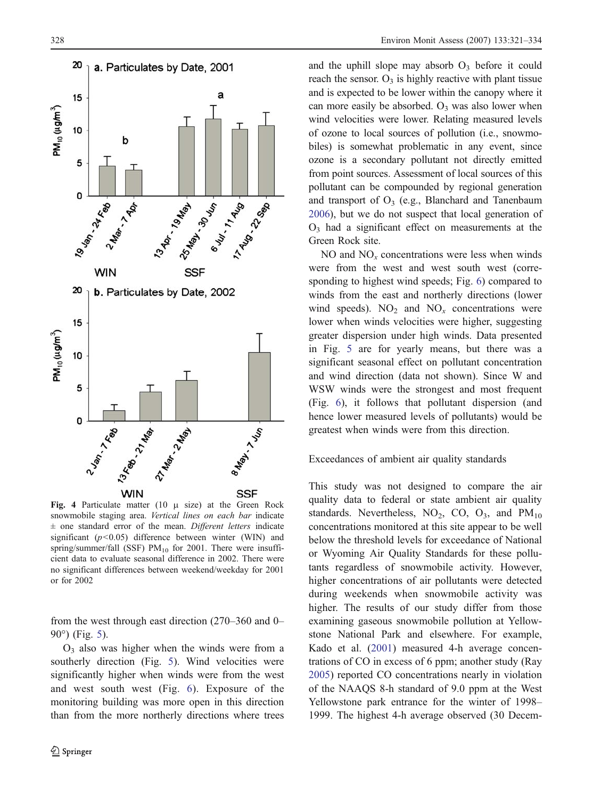<span id="page-7-0"></span>

Fig. 4 Particulate matter (10  $\mu$  size) at the Green Rock snowmobile staging area. Vertical lines on each bar indicate  $\pm$  one standard error of the mean. Different letters indicate significant  $(p<0.05)$  difference between winter (WIN) and spring/summer/fall (SSF)  $PM_{10}$  for 2001. There were insufficient data to evaluate seasonal difference in 2002. There were no significant differences between weekend/weekday for 2001 or for 2002

from the west through east direction (270–360 and 0– 90°) (Fig. [5](#page-8-0)).

 $O<sub>3</sub>$  also was higher when the winds were from a southerly direction (Fig. [5](#page-8-0)). Wind velocities were significantly higher when winds were from the west and west south west (Fig. [6](#page-9-0)). Exposure of the monitoring building was more open in this direction than from the more northerly directions where trees and the uphill slope may absorb  $O_3$  before it could reach the sensor.  $O_3$  is highly reactive with plant tissue and is expected to be lower within the canopy where it can more easily be absorbed.  $O_3$  was also lower when wind velocities were lower. Relating measured levels of ozone to local sources of pollution (i.e., snowmobiles) is somewhat problematic in any event, since ozone is a secondary pollutant not directly emitted from point sources. Assessment of local sources of this pollutant can be compounded by regional generation and transport of  $O_3$  (e.g., Blanchard and Tanenbaum [2006](#page-12-0)), but we do not suspect that local generation of  $O<sub>3</sub>$  had a significant effect on measurements at the Green Rock site.

NO and  $NO<sub>x</sub>$  concentrations were less when winds were from the west and west south west (corresponding to highest wind speeds; Fig. [6](#page-9-0)) compared to winds from the east and northerly directions (lower wind speeds).  $NO<sub>2</sub>$  and  $NO<sub>x</sub>$  concentrations were lower when winds velocities were higher, suggesting greater dispersion under high winds. Data presented in Fig. [5](#page-8-0) are for yearly means, but there was a significant seasonal effect on pollutant concentration and wind direction (data not shown). Since W and WSW winds were the strongest and most frequent (Fig. [6](#page-9-0)), it follows that pollutant dispersion (and hence lower measured levels of pollutants) would be greatest when winds were from this direction.

#### Exceedances of ambient air quality standards

This study was not designed to compare the air quality data to federal or state ambient air quality standards. Nevertheless,  $NO<sub>2</sub>$ ,  $CO$ ,  $O<sub>3</sub>$ , and  $PM<sub>10</sub>$ concentrations monitored at this site appear to be well below the threshold levels for exceedance of National or Wyoming Air Quality Standards for these pollutants regardless of snowmobile activity. However, higher concentrations of air pollutants were detected during weekends when snowmobile activity was higher. The results of our study differ from those examining gaseous snowmobile pollution at Yellowstone National Park and elsewhere. For example, Kado et al. [\(2001](#page-13-0)) measured 4-h average concentrations of CO in excess of 6 ppm; another study (Ray [2005](#page-13-0)) reported CO concentrations nearly in violation of the NAAQS 8-h standard of 9.0 ppm at the West Yellowstone park entrance for the winter of 1998– 1999. The highest 4-h average observed (30 Decem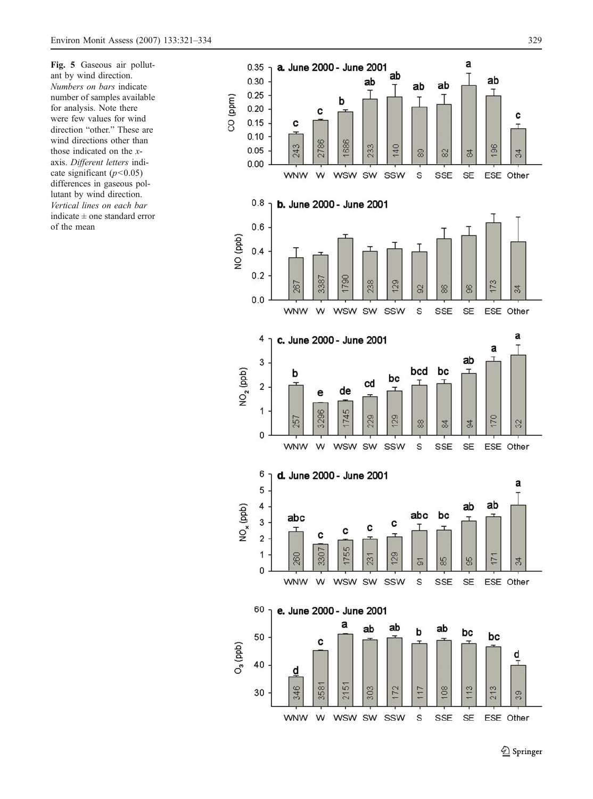<span id="page-8-0"></span>Fig. 5 Gaseous air pollutant by wind direction. Numbers on bars indicate number of samples available for analysis. Note there were few values for wind direction "other. " These are wind directions other than those indicated on the  $x$ axis. Different letters indicate significant  $(p<0.05)$ differences in gaseous pollutant by wind direction. Vertical lines on each bar indicate ± one standard error of the mean

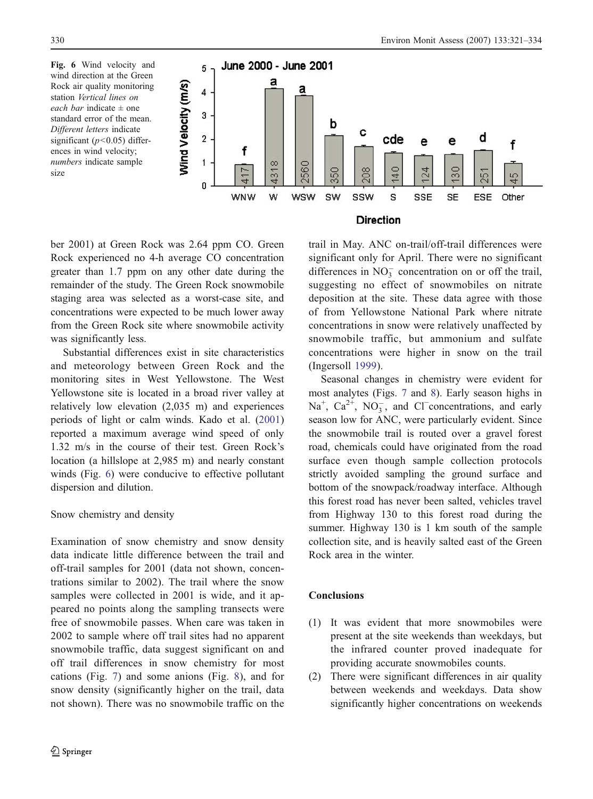<span id="page-9-0"></span>Fig. 6 Wind velocity and wind direction at the Green Rock air quality monitoring station Vertical lines on each bar indicate  $\pm$  one standard error of the mean. Different letters indicate significant ( $p$ <0.05) differences in wind velocity; numbers indicate sample size



ber 2001) at Green Rock was 2.64 ppm CO. Green Rock experienced no 4-h average CO concentration greater than 1.7 ppm on any other date during the remainder of the study. The Green Rock snowmobile staging area was selected as a worst-case site, and concentrations were expected to be much lower away from the Green Rock site where snowmobile activity was significantly less.

Substantial differences exist in site characteristics and meteorology between Green Rock and the monitoring sites in West Yellowstone. The West Yellowstone site is located in a broad river valley at relatively low elevation (2,035 m) and experiences periods of light or calm winds. Kado et al. [\(2001](#page-13-0)) reported a maximum average wind speed of only 1.32 m/s in the course of their test. Green Rock's location (a hillslope at 2,985 m) and nearly constant winds (Fig. 6) were conducive to effective pollutant dispersion and dilution.

# Snow chemistry and density

Examination of snow chemistry and snow density data indicate little difference between the trail and off-trail samples for 2001 (data not shown, concentrations similar to 2002). The trail where the snow samples were collected in 2001 is wide, and it appeared no points along the sampling transects were free of snowmobile passes. When care was taken in 2002 to sample where off trail sites had no apparent snowmobile traffic, data suggest significant on and off trail differences in snow chemistry for most cations (Fig. [7](#page-10-0)) and some anions (Fig. [8](#page-11-0)), and for snow density (significantly higher on the trail, data not shown). There was no snowmobile traffic on the

trail in May. ANC on-trail/off-trail differences were significant only for April. There were no significant differences in  $NO_3^-$  concentration on or off the trail, suggesting no effect of snowmobiles on nitrate deposition at the site. These data agree with those of from Yellowstone National Park where nitrate concentrations in snow were relatively unaffected by snowmobile traffic, but ammonium and sulfate concentrations were higher in snow on the trail (Ingersoll [1999](#page-12-0)).

Seasonal changes in chemistry were evident for most analytes (Figs. [7](#page-10-0) and [8](#page-11-0)). Early season highs in  $Na<sup>+</sup>$ ,  $Ca<sup>2+</sup>$ ,  $NO<sub>3</sub><sup>-</sup>$ , and Cl<sup>−</sup>concentrations, and early season low for ANC, were particularly evident. Since the snowmobile trail is routed over a gravel forest road, chemicals could have originated from the road surface even though sample collection protocols strictly avoided sampling the ground surface and bottom of the snowpack/roadway interface. Although this forest road has never been salted, vehicles travel from Highway 130 to this forest road during the summer. Highway 130 is 1 km south of the sample collection site, and is heavily salted east of the Green Rock area in the winter.

# **Conclusions**

- (1) It was evident that more snowmobiles were present at the site weekends than weekdays, but the infrared counter proved inadequate for providing accurate snowmobiles counts.
- (2) There were significant differences in air quality between weekends and weekdays. Data show significantly higher concentrations on weekends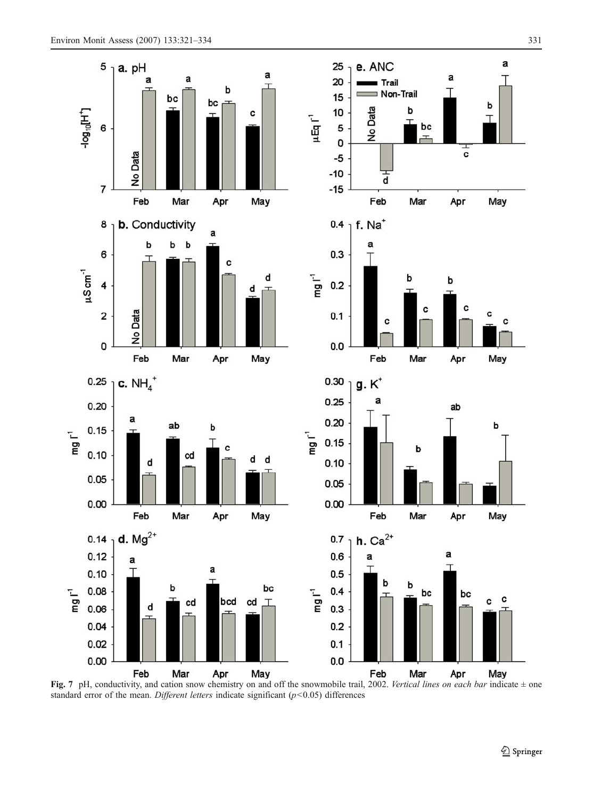<span id="page-10-0"></span>

Fig. 7 pH, conductivity, and cation snow chemistry on and off the snowmobile trail, 2002. Vertical lines on each bar indicate  $\pm$  one standard error of the mean. Different letters indicate significant  $(p<0.05)$  differences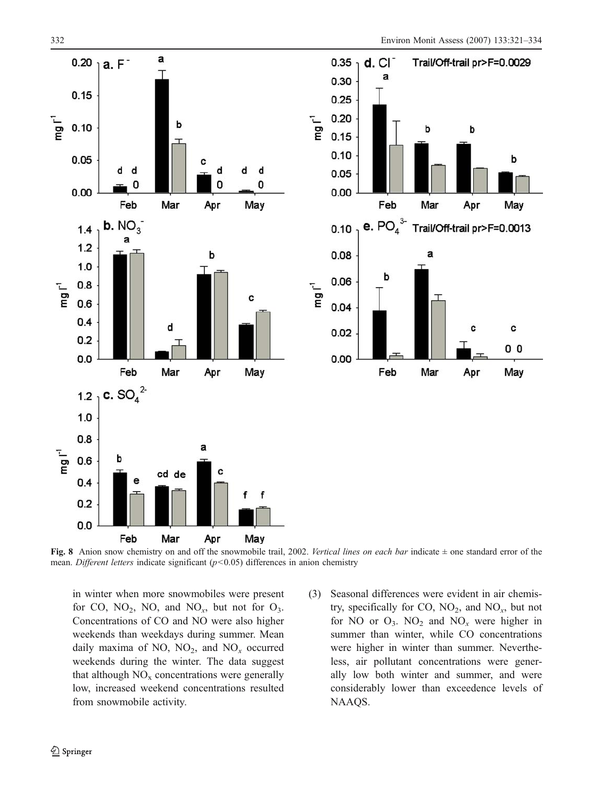<span id="page-11-0"></span>

Fig. 8 Anion snow chemistry on and off the snowmobile trail, 2002. Vertical lines on each bar indicate  $\pm$  one standard error of the mean. Different letters indicate significant  $(p<0.05)$  differences in anion chemistry

in winter when more snowmobiles were present for CO,  $NO_2$ , NO, and  $NO_x$ , but not for  $O_3$ . Concentrations of CO and NO were also higher weekends than weekdays during summer. Mean daily maxima of NO,  $NO<sub>2</sub>$ , and  $NO<sub>x</sub>$  occurred weekends during the winter. The data suggest that although  $NO<sub>x</sub>$  concentrations were generally low, increased weekend concentrations resulted from snowmobile activity.

(3) Seasonal differences were evident in air chemistry, specifically for CO,  $NO_2$ , and  $NO_x$ , but not for NO or  $O_3$ . NO<sub>2</sub> and NO<sub>x</sub> were higher in summer than winter, while CO concentrations were higher in winter than summer. Nevertheless, air pollutant concentrations were generally low both winter and summer, and were considerably lower than exceedence levels of NAAQS.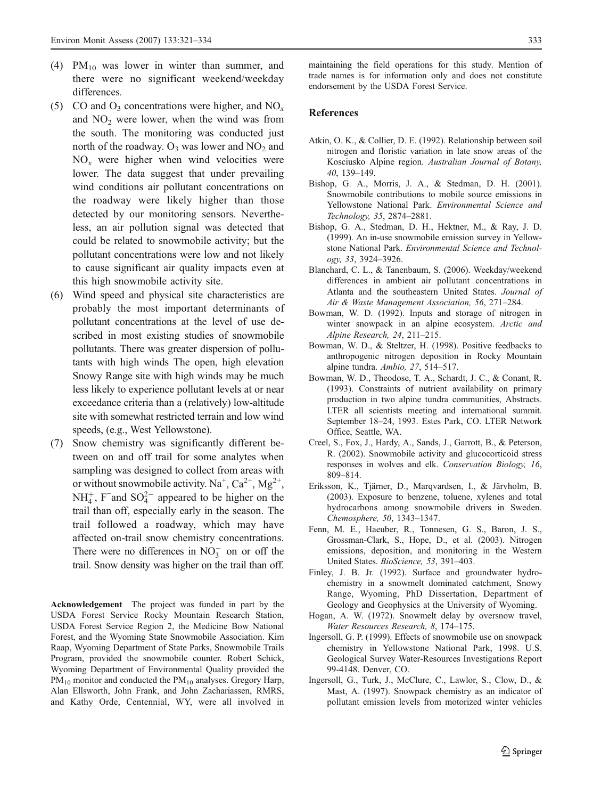- <span id="page-12-0"></span>(4)  $PM_{10}$  was lower in winter than summer, and there were no significant weekend/weekday differences.
- (5) CO and  $O_3$  concentrations were higher, and NO<sub>x</sub> and  $NO<sub>2</sub>$  were lower, when the wind was from the south. The monitoring was conducted just north of the roadway.  $O_3$  was lower and  $NO_2$  and  $NO<sub>x</sub>$  were higher when wind velocities were lower. The data suggest that under prevailing wind conditions air pollutant concentrations on the roadway were likely higher than those detected by our monitoring sensors. Nevertheless, an air pollution signal was detected that could be related to snowmobile activity; but the pollutant concentrations were low and not likely to cause significant air quality impacts even at this high snowmobile activity site.
- (6) Wind speed and physical site characteristics are probably the most important determinants of pollutant concentrations at the level of use described in most existing studies of snowmobile pollutants. There was greater dispersion of pollutants with high winds The open, high elevation Snowy Range site with high winds may be much less likely to experience pollutant levels at or near exceedance criteria than a (relatively) low-altitude site with somewhat restricted terrain and low wind speeds, (e.g., West Yellowstone).
- (7) Snow chemistry was significantly different between on and off trail for some analytes when sampling was designed to collect from areas with or without snowmobile activity. Na<sup>+</sup>, Ca<sup>2+</sup>, Mg<sup>2+</sup>,  $NH_4^+$ , F<sup>−</sup> and SO<sub>4</sub><sup>2−</sup> appeared to be higher on the trail than off, especially early in the season. The trail followed a roadway, which may have affected on-trail snow chemistry concentrations. There were no differences in  $NO_3^-$  on or off the trail. Snow density was higher on the trail than off.

Acknowledgement The project was funded in part by the USDA Forest Service Rocky Mountain Research Station, USDA Forest Service Region 2, the Medicine Bow National Forest, and the Wyoming State Snowmobile Association. Kim Raap, Wyoming Department of State Parks, Snowmobile Trails Program, provided the snowmobile counter. Robert Schick, Wyoming Department of Environmental Quality provided the  $PM_{10}$  monitor and conducted the  $PM_{10}$  analyses. Gregory Harp, Alan Ellsworth, John Frank, and John Zachariassen, RMRS, and Kathy Orde, Centennial, WY, were all involved in maintaining the field operations for this study. Mention of trade names is for information only and does not constitute endorsement by the USDA Forest Service.

#### References

- Atkin, O. K., & Collier, D. E. (1992). Relationship between soil nitrogen and floristic variation in late snow areas of the Kosciusko Alpine region. Australian Journal of Botany, 40, 139–149.
- Bishop, G. A., Morris, J. A., & Stedman, D. H. (2001). Snowmobile contributions to mobile source emissions in Yellowstone National Park. Environmental Science and Technology, 35, 2874–2881.
- Bishop, G. A., Stedman, D. H., Hektner, M., & Ray, J. D. (1999). An in-use snowmobile emission survey in Yellowstone National Park. Environmental Science and Technology, 33, 3924–3926.
- Blanchard, C. L., & Tanenbaum, S. (2006). Weekday/weekend differences in ambient air pollutant concentrations in Atlanta and the southeastern United States. Journal of Air & Waste Management Association, 56, 271–284.
- Bowman, W. D. (1992). Inputs and storage of nitrogen in winter snowpack in an alpine ecosystem. Arctic and Alpine Research, 24, 211–215.
- Bowman, W. D., & Steltzer, H. (1998). Positive feedbacks to anthropogenic nitrogen deposition in Rocky Mountain alpine tundra. Ambio, 27, 514–517.
- Bowman, W. D., Theodose, T. A., Schardt, J. C., & Conant, R. (1993). Constraints of nutrient availability on primary production in two alpine tundra communities, Abstracts. LTER all scientists meeting and international summit. September 18–24, 1993. Estes Park, CO. LTER Network Office, Seattle, WA.
- Creel, S., Fox, J., Hardy, A., Sands, J., Garrott, B., & Peterson, R. (2002). Snowmobile activity and glucocorticoid stress responses in wolves and elk. Conservation Biology, 16, 809–814.
- Eriksson, K., Tjärner, D., Marqvardsen, I., & Järvholm, B. (2003). Exposure to benzene, toluene, xylenes and total hydrocarbons among snowmobile drivers in Sweden. Chemosphere, 50, 1343–1347.
- Fenn, M. E., Haeuber, R., Tonnesen, G. S., Baron, J. S., Grossman-Clark, S., Hope, D., et al. (2003). Nitrogen emissions, deposition, and monitoring in the Western United States. BioScience, 53, 391–403.
- Finley, J. B. Jr. (1992). Surface and groundwater hydrochemistry in a snowmelt dominated catchment, Snowy Range, Wyoming, PhD Dissertation, Department of Geology and Geophysics at the University of Wyoming.
- Hogan, A. W. (1972). Snowmelt delay by oversnow travel, Water Resources Research, 8, 174–175.
- Ingersoll, G. P. (1999). Effects of snowmobile use on snowpack chemistry in Yellowstone National Park, 1998. U.S. Geological Survey Water-Resources Investigations Report 99-4148. Denver, CO.
- Ingersoll, G., Turk, J., McClure, C., Lawlor, S., Clow, D., & Mast, A. (1997). Snowpack chemistry as an indicator of pollutant emission levels from motorized winter vehicles